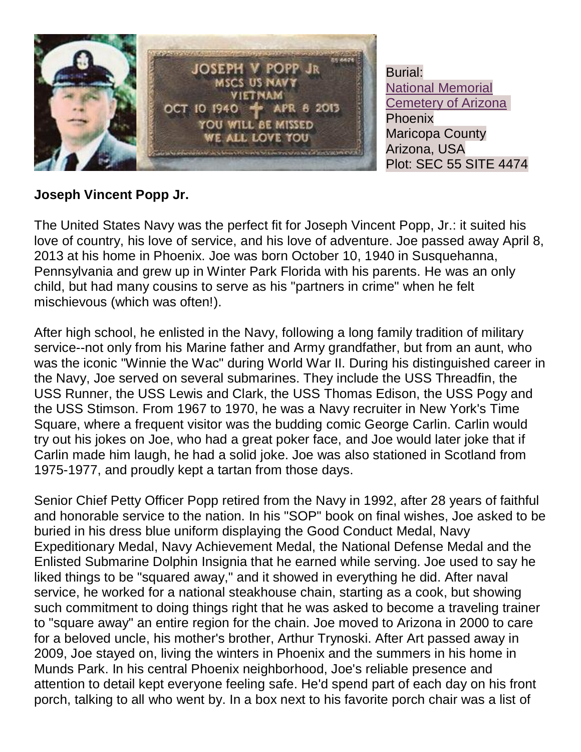

Burial: [National Memorial](http://findagrave.com/cgi-bin/fg.cgi?page=cr&GSln=POPP&GSfn=JOSEPH&GSbyrel=all&GSdyrel=all&GSst=5&GScntry=4&GSob=n&GRid=108459933&CRid=109431&df=all&)  [Cemetery of Arizona](http://findagrave.com/cgi-bin/fg.cgi?page=cr&GSln=POPP&GSfn=JOSEPH&GSbyrel=all&GSdyrel=all&GSst=5&GScntry=4&GSob=n&GRid=108459933&CRid=109431&df=all&) Phoenix Maricopa County Arizona, USA Plot: SEC 55 SITE 4474

## **Joseph Vincent Popp Jr.**

The United States Navy was the perfect fit for Joseph Vincent Popp, Jr.: it suited his love of country, his love of service, and his love of adventure. Joe passed away April 8, 2013 at his home in Phoenix. Joe was born October 10, 1940 in Susquehanna, Pennsylvania and grew up in Winter Park Florida with his parents. He was an only child, but had many cousins to serve as his "partners in crime" when he felt mischievous (which was often!).

After high school, he enlisted in the Navy, following a long family tradition of military service--not only from his Marine father and Army grandfather, but from an aunt, who was the iconic "Winnie the Wac" during World War II. During his distinguished career in the Navy, Joe served on several submarines. They include the USS Threadfin, the USS Runner, the USS Lewis and Clark, the USS Thomas Edison, the USS Pogy and the USS Stimson. From 1967 to 1970, he was a Navy recruiter in New York's Time Square, where a frequent visitor was the budding comic George Carlin. Carlin would try out his jokes on Joe, who had a great poker face, and Joe would later joke that if Carlin made him laugh, he had a solid joke. Joe was also stationed in Scotland from 1975-1977, and proudly kept a tartan from those days.

Senior Chief Petty Officer Popp retired from the Navy in 1992, after 28 years of faithful and honorable service to the nation. In his "SOP" book on final wishes, Joe asked to be buried in his dress blue uniform displaying the Good Conduct Medal, Navy Expeditionary Medal, Navy Achievement Medal, the National Defense Medal and the Enlisted Submarine Dolphin Insignia that he earned while serving. Joe used to say he liked things to be "squared away," and it showed in everything he did. After naval service, he worked for a national steakhouse chain, starting as a cook, but showing such commitment to doing things right that he was asked to become a traveling trainer to "square away" an entire region for the chain. Joe moved to Arizona in 2000 to care for a beloved uncle, his mother's brother, Arthur Trynoski. After Art passed away in 2009, Joe stayed on, living the winters in Phoenix and the summers in his home in Munds Park. In his central Phoenix neighborhood, Joe's reliable presence and attention to detail kept everyone feeling safe. He'd spend part of each day on his front porch, talking to all who went by. In a box next to his favorite porch chair was a list of